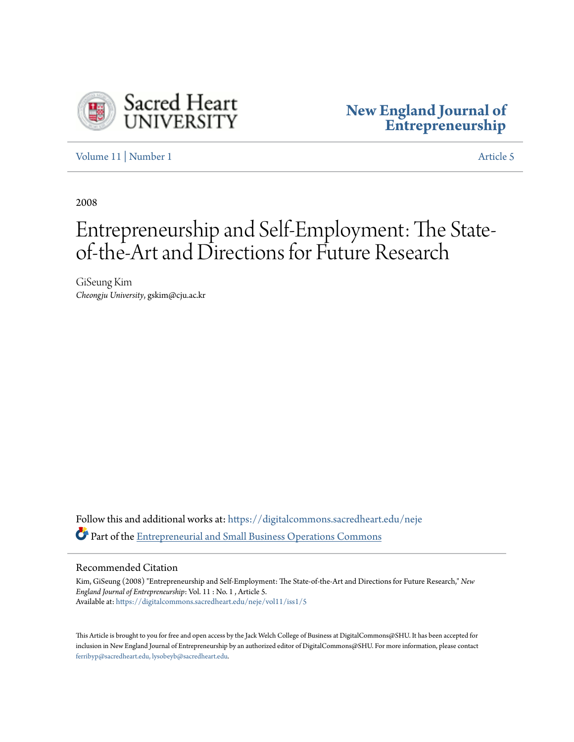

### **[New England Journal of](https://digitalcommons.sacredheart.edu/neje?utm_source=digitalcommons.sacredheart.edu%2Fneje%2Fvol11%2Fiss1%2F5&utm_medium=PDF&utm_campaign=PDFCoverPages) [Entrepreneurship](https://digitalcommons.sacredheart.edu/neje?utm_source=digitalcommons.sacredheart.edu%2Fneje%2Fvol11%2Fiss1%2F5&utm_medium=PDF&utm_campaign=PDFCoverPages)**

[Volume 11](https://digitalcommons.sacredheart.edu/neje/vol11?utm_source=digitalcommons.sacredheart.edu%2Fneje%2Fvol11%2Fiss1%2F5&utm_medium=PDF&utm_campaign=PDFCoverPages) | [Number 1](https://digitalcommons.sacredheart.edu/neje/vol11/iss1?utm_source=digitalcommons.sacredheart.edu%2Fneje%2Fvol11%2Fiss1%2F5&utm_medium=PDF&utm_campaign=PDFCoverPages) [Article 5](https://digitalcommons.sacredheart.edu/neje/vol11/iss1/5?utm_source=digitalcommons.sacredheart.edu%2Fneje%2Fvol11%2Fiss1%2F5&utm_medium=PDF&utm_campaign=PDFCoverPages)

2008

## Entrepreneurship and Self-Employment: The Stateof-the-Art and Directions for Future Research

GiSeung Kim *Cheongju University*, gskim@cju.ac.kr

Follow this and additional works at: [https://digitalcommons.sacredheart.edu/neje](https://digitalcommons.sacredheart.edu/neje?utm_source=digitalcommons.sacredheart.edu%2Fneje%2Fvol11%2Fiss1%2F5&utm_medium=PDF&utm_campaign=PDFCoverPages) Part of the [Entrepreneurial and Small Business Operations Commons](http://network.bepress.com/hgg/discipline/630?utm_source=digitalcommons.sacredheart.edu%2Fneje%2Fvol11%2Fiss1%2F5&utm_medium=PDF&utm_campaign=PDFCoverPages)

#### Recommended Citation

Kim, GiSeung (2008) "Entrepreneurship and Self-Employment: The State-of-the-Art and Directions for Future Research," *New England Journal of Entrepreneurship*: Vol. 11 : No. 1 , Article 5. Available at: [https://digitalcommons.sacredheart.edu/neje/vol11/iss1/5](https://digitalcommons.sacredheart.edu/neje/vol11/iss1/5?utm_source=digitalcommons.sacredheart.edu%2Fneje%2Fvol11%2Fiss1%2F5&utm_medium=PDF&utm_campaign=PDFCoverPages)

This Article is brought to you for free and open access by the Jack Welch College of Business at DigitalCommons@SHU. It has been accepted for inclusion in New England Journal of Entrepreneurship by an authorized editor of DigitalCommons@SHU. For more information, please contact [ferribyp@sacredheart.edu, lysobeyb@sacredheart.edu.](mailto:ferribyp@sacredheart.edu,%20lysobeyb@sacredheart.edu)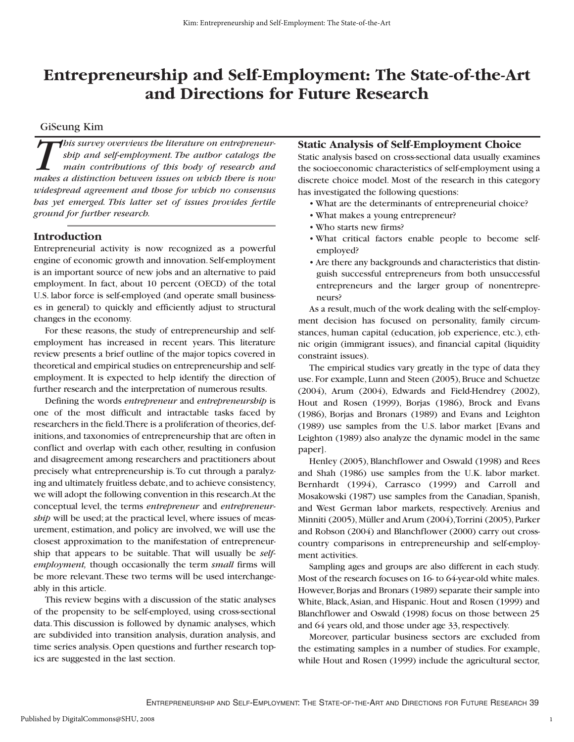## **Entrepreneurship and Self-Employment: The State-of-the-Art and Directions for Future Research**

#### GiSeung Kim

*T his survey overviews the literature on entrepreneurship and self-employment. The author catalogs the main contributions of this body of research and makes a distinction between issues on which there is now widespread agreement and those for which no consensus has yet emerged. This latter set of issues provides fertile ground for further research.*

#### **Introduction**

Entrepreneurial activity is now recognized as a powerful engine of economic growth and innovation. Self-employment is an important source of new jobs and an alternative to paid employment. In fact, about 10 percent (OECD) of the total U.S. labor force is self-employed (and operate small businesses in general) to quickly and efficiently adjust to structural changes in the economy.

For these reasons, the study of entrepreneurship and selfemployment has increased in recent years. This literature review presents a brief outline of the major topics covered in theoretical and empirical studies on entrepreneurship and selfemployment. It is expected to help identify the direction of further research and the interpretation of numerous results.

Defining the words *entrepreneur* and *entrepreneurship* is one of the most difficult and intractable tasks faced by researchers in the field. There is a proliferation of theories, definitions,and taxonomies of entrepreneurship that are often in conflict and overlap with each other, resulting in confusion and disagreement among researchers and practitioners about precisely what entrepreneurship is.To cut through a paralyzing and ultimately fruitless debate,and to achieve consistency, we will adopt the following convention in this research.At the conceptual level, the terms *entrepreneur* and *entrepreneurship* will be used; at the practical level, where issues of measurement, estimation, and policy are involved, we will use the closest approximation to the manifestation of entrepreneurship that appears to be suitable. That will usually be *selfemployment,* though occasionally the term *small* firms will be more relevant.These two terms will be used interchangeably in this article.

This review begins with a discussion of the static analyses of the propensity to be self-employed, using cross-sectional data.This discussion is followed by dynamic analyses, which are subdivided into transition analysis, duration analysis, and time series analysis. Open questions and further research topics are suggested in the last section.

#### **Static Analysis of Self-Employment Choice**

Static analysis based on cross-sectional data usually examines the socioeconomic characteristics of self-employment using a discrete choice model. Most of the research in this category has investigated the following questions:

- What are the determinants of entrepreneurial choice?
- What makes a young entrepreneur?
- Who starts new firms?
- What critical factors enable people to become selfemployed?
- Are there any backgrounds and characteristics that distinguish successful entrepreneurs from both unsuccessful entrepreneurs and the larger group of nonentrepreneurs?

As a result, much of the work dealing with the self-employment decision has focused on personality, family circumstances, human capital (education, job experience, etc.), ethnic origin (immigrant issues), and financial capital (liquidity constraint issues).

The empirical studies vary greatly in the type of data they use. For example, Lunn and Steen (2005), Bruce and Schuetze (2004), Arum (2004), Edwards and Field-Hendrey (2002), Hout and Rosen (1999), Borjas (1986), Brock and Evans (1986), Borjas and Bronars (1989) and Evans and Leighton (1989) use samples from the U.S. labor market [Evans and Leighton (1989) also analyze the dynamic model in the same paper].

Henley (2005), Blanchflower and Oswald (1998) and Rees and Shah (1986) use samples from the U.K. labor market. Bernhardt (1994), Carrasco (1999) and Carroll and Mosakowski (1987) use samples from the Canadian, Spanish, and West German labor markets, respectively. Arenius and Minniti (2005), Müller and Arum (2004),Torrini (2005), Parker and Robson (2004) and Blanchflower (2000) carry out crosscountry comparisons in entrepreneurship and self-employment activities.

Sampling ages and groups are also different in each study. Most of the research focuses on 16- to 64-year-old white males. However, Borjas and Bronars (1989) separate their sample into White, Black,Asian, and Hispanic. Hout and Rosen (1999) and Blanchflower and Oswald (1998) focus on those between 25 and 64 years old, and those under age 33, respectively.

Moreover, particular business sectors are excluded from the estimating samples in a number of studies. For example, while Hout and Rosen (1999) include the agricultural sector,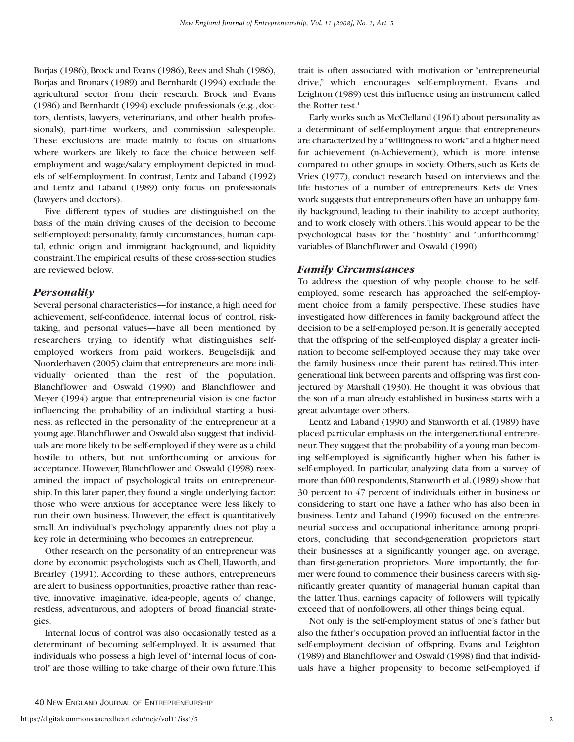Borjas (1986), Brock and Evans (1986), Rees and Shah (1986), Borjas and Bronars (1989) and Bernhardt (1994) exclude the agricultural sector from their research. Brock and Evans (1986) and Bernhardt (1994) exclude professionals (e.g., doctors, dentists, lawyers, veterinarians, and other health professionals), part-time workers, and commission salespeople. These exclusions are made mainly to focus on situations where workers are likely to face the choice between selfemployment and wage/salary employment depicted in models of self-employment. In contrast, Lentz and Laband (1992) and Lentz and Laband (1989) only focus on professionals (lawyers and doctors).

Five different types of studies are distinguished on the basis of the main driving causes of the decision to become self-employed: personality, family circumstances, human capital, ethnic origin and immigrant background, and liquidity constraint.The empirical results of these cross-section studies are reviewed below.

#### *Personality*

Several personal characteristics—for instance, a high need for achievement, self-confidence, internal locus of control, risktaking, and personal values—have all been mentioned by researchers trying to identify what distinguishes selfemployed workers from paid workers. Beugelsdijk and Noorderhaven (2005) claim that entrepreneurs are more individually oriented than the rest of the population. Blanchflower and Oswald (1990) and Blanchflower and Meyer (1994) argue that entrepreneurial vision is one factor influencing the probability of an individual starting a business, as reflected in the personality of the entrepreneur at a young age.Blanchflower and Oswald also suggest that individuals are more likely to be self-employed if they were as a child hostile to others, but not unforthcoming or anxious for acceptance. However, Blanchflower and Oswald (1998) reexamined the impact of psychological traits on entrepreneurship. In this later paper, they found a single underlying factor: those who were anxious for acceptance were less likely to run their own business. However, the effect is quantitatively small. An individual's psychology apparently does not play a key role in determining who becomes an entrepreneur.

Other research on the personality of an entrepreneur was done by economic psychologists such as Chell, Haworth, and Brearley (1991). According to these authors, entrepreneurs are alert to business opportunities, proactive rather than reactive, innovative, imaginative, idea-people, agents of change, restless, adventurous, and adopters of broad financial strategies.

Internal locus of control was also occasionally tested as a determinant of becoming self-employed. It is assumed that individuals who possess a high level of "internal locus of control" are those willing to take charge of their own future.This trait is often associated with motivation or "entrepreneurial drive," which encourages self-employment. Evans and Leighton (1989) test this influence using an instrument called the Rotter test.<sup>1</sup>

Early works such as McClelland (1961) about personality as a determinant of self-employment argue that entrepreneurs are characterized by a "willingness to work"and a higher need for achievement (n-Achievement), which is more intense compared to other groups in society. Others, such as Kets de Vries (1977), conduct research based on interviews and the life histories of a number of entrepreneurs. Kets de Vries' work suggests that entrepreneurs often have an unhappy family background, leading to their inability to accept authority, and to work closely with others.This would appear to be the psychological basis for the "hostility" and "unforthcoming" variables of Blanchflower and Oswald (1990).

#### *Family Circumstances*

To address the question of why people choose to be selfemployed, some research has approached the self-employment choice from a family perspective. These studies have investigated how differences in family background affect the decision to be a self-employed person.It is generally accepted that the offspring of the self-employed display a greater inclination to become self-employed because they may take over the family business once their parent has retired. This intergenerational link between parents and offspring was first conjectured by Marshall (1930). He thought it was obvious that the son of a man already established in business starts with a great advantage over others.

Lentz and Laband (1990) and Stanworth et al. (1989) have placed particular emphasis on the intergenerational entrepreneur.They suggest that the probability of a young man becoming self-employed is significantly higher when his father is self-employed. In particular, analyzing data from a survey of more than 600 respondents, Stanworth et al. (1989) show that 30 percent to 47 percent of individuals either in business or considering to start one have a father who has also been in business. Lentz and Laband (1990) focused on the entrepreneurial success and occupational inheritance among proprietors, concluding that second-generation proprietors start their businesses at a significantly younger age, on average, than first-generation proprietors. More importantly, the former were found to commence their business careers with significantly greater quantity of managerial human capital than the latter. Thus, earnings capacity of followers will typically exceed that of nonfollowers, all other things being equal.

Not only is the self-employment status of one's father but also the father's occupation proved an influential factor in the self-employment decision of offspring. Evans and Leighton (1989) and Blanchflower and Oswald (1998) find that individuals have a higher propensity to become self-employed if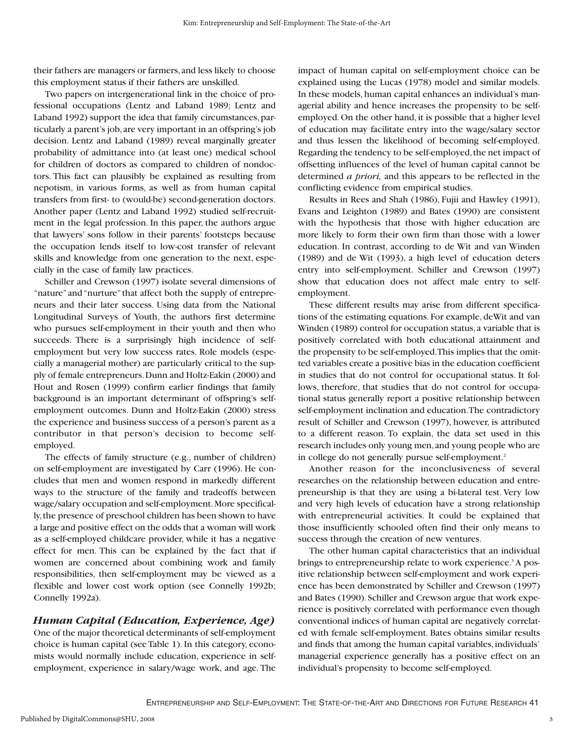their fathers are managers or farmers,and less likely to choose this employment status if their fathers are unskilled.

Two papers on intergenerational link in the choice of professional occupations (Lentz and Laband 1989; Lentz and Laband 1992) support the idea that family circumstances, particularly a parent's job,are very important in an offspring's job decision. Lentz and Laband (1989) reveal marginally greater probability of admittance into (at least one) medical school for children of doctors as compared to children of nondoctors. This fact can plausibly be explained as resulting from nepotism, in various forms, as well as from human capital transfers from first- to (would-be) second-generation doctors. Another paper (Lentz and Laband 1992) studied self-recruitment in the legal profession. In this paper, the authors argue that lawyers' sons follow in their parents' footsteps because the occupation lends itself to low-cost transfer of relevant skills and knowledge from one generation to the next, especially in the case of family law practices.

Schiller and Crewson (1997) isolate several dimensions of "nature" and "nurture" that affect both the supply of entrepreneurs and their later success. Using data from the National Longitudinal Surveys of Youth, the authors first determine who pursues self-employment in their youth and then who succeeds. There is a surprisingly high incidence of selfemployment but very low success rates. Role models (especially a managerial mother) are particularly critical to the supply of female entrepreneurs.Dunn and Holtz-Eakin (2000) and Hout and Rosen (1999) confirm earlier findings that family background is an important determinant of offspring's selfemployment outcomes. Dunn and Holtz-Eakin (2000) stress the experience and business success of a person's parent as a contributor in that person's decision to become selfemployed.

The effects of family structure (e.g., number of children) on self-employment are investigated by Carr (1996). He concludes that men and women respond in markedly different ways to the structure of the family and tradeoffs between wage/salary occupation and self-employment.More specifically,the presence of preschool children has been shown to have a large and positive effect on the odds that a woman will work as a self-employed childcare provider, while it has a negative effect for men. This can be explained by the fact that if women are concerned about combining work and family responsibilities, then self-employment may be viewed as a flexible and lower cost work option (see Connelly 1992b; Connelly 1992a).

#### *Human Capital (Education, Experience, Age)*

One of the major theoretical determinants of self-employment choice is human capital (see Table 1). In this category, economists would normally include education, experience in selfemployment, experience in salary/wage work, and age. The

impact of human capital on self-employment choice can be explained using the Lucas (1978) model and similar models. In these models, human capital enhances an individual's managerial ability and hence increases the propensity to be selfemployed. On the other hand, it is possible that a higher level of education may facilitate entry into the wage/salary sector and thus lessen the likelihood of becoming self-employed. Regarding the tendency to be self-employed, the net impact of offsetting influences of the level of human capital cannot be determined *a priori,* and this appears to be reflected in the conflicting evidence from empirical studies.

Results in Rees and Shah (1986), Fujii and Hawley (1991), Evans and Leighton (1989) and Bates (1990) are consistent with the hypothesis that those with higher education are more likely to form their own firm than those with a lower education. In contrast, according to de Wit and van Winden (1989) and de Wit (1993), a high level of education deters entry into self-employment. Schiller and Crewson (1997) show that education does not affect male entry to selfemployment.

These different results may arise from different specifications of the estimating equations. For example, deWit and van Winden (1989) control for occupation status, a variable that is positively correlated with both educational attainment and the propensity to be self-employed.This implies that the omitted variables create a positive bias in the education coefficient in studies that do not control for occupational status. It follows, therefore, that studies that do not control for occupational status generally report a positive relationship between self-employment inclination and education.The contradictory result of Schiller and Crewson (1997), however, is attributed to a different reason. To explain, the data set used in this research includes only young men, and young people who are in college do not generally pursue self-employment.<sup>2</sup>

Another reason for the inconclusiveness of several researches on the relationship between education and entrepreneurship is that they are using a bi-lateral test. Very low and very high levels of education have a strong relationship with entrepreneurial activities. It could be explained that those insufficiently schooled often find their only means to success through the creation of new ventures.

The other human capital characteristics that an individual brings to entrepreneurship relate to work experience.<sup>3</sup> A positive relationship between self-employment and work experience has been demonstrated by Schiller and Crewson (1997) and Bates (1990). Schiller and Crewson argue that work experience is positively correlated with performance even though conventional indices of human capital are negatively correlated with female self-employment. Bates obtains similar results and finds that among the human capital variables, individuals' managerial experience generally has a positive effect on an individual's propensity to become self-employed.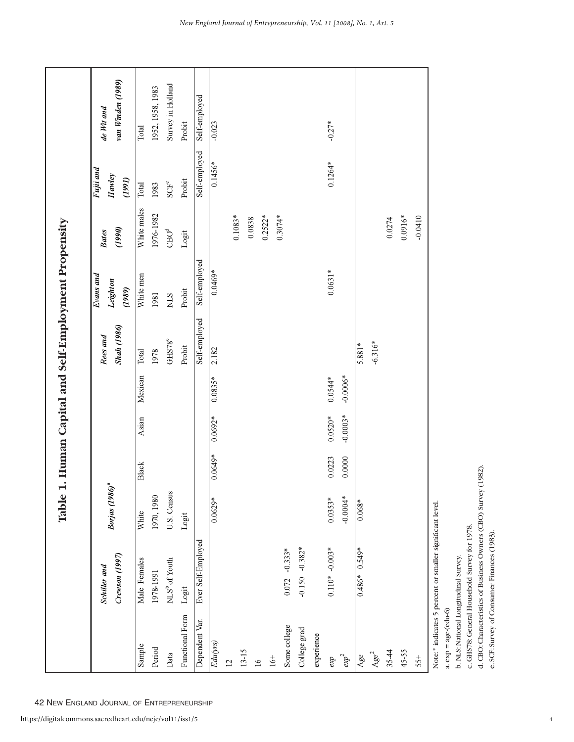|                     | Crewson $(1997)$<br>Schiller and | Borjas (1986) <sup>a</sup> |           |            |            | <b>Shah</b> (1986)<br>Rees and | Evans and<br>Leighton<br>(989) | $006D$<br><b>Bates</b> | Fujii and<br>Hawley<br>(1991) | van Winden (1989)<br>de Wit and |
|---------------------|----------------------------------|----------------------------|-----------|------------|------------|--------------------------------|--------------------------------|------------------------|-------------------------------|---------------------------------|
| Sample              | Male Females                     | White                      | Black     | Asian      | Mexican    | Total                          | White men                      | White males            | Total                         | Total                           |
| Period              | 1978-1991                        | 1970, 1980                 |           |            |            | 1978                           | 1981                           | 1976-1982              | 1983                          | 1952, 1958, 1983                |
| Data                | NLS <sup>b</sup> of Youth        | U.S. Census                |           |            |            | GHS78°                         | $\rm N\mathbb{I}$              | CBO <sup>d</sup>       | $\mathrm{SCF}^{\mathrm{e}}$   | Survey in Holland               |
| Functional Form     | Logit                            | Logit                      |           |            |            | Probit                         | Probit                         | Logit                  | Probit                        | Probit                          |
| Dependent Var.      | Ever Self-Employed               |                            |           |            |            | Self-employed                  | Self-employed                  |                        | Self-employed                 | Self-employed                   |
| Edu(yrs)            |                                  | $0.0629*$                  | $0.0649*$ | $0.0692*$  | $0.0835*$  | 2.182                          | $0.0469*$                      |                        | $0.1456*$                     | $-0.023$                        |
| $\overline{\omega}$ |                                  |                            |           |            |            |                                |                                |                        |                               |                                 |
| $13 - 15$           |                                  |                            |           |            |            |                                |                                | $0.1083*$              |                               |                                 |
| $\overline{16}$     |                                  |                            |           |            |            |                                |                                | 0.0838                 |                               |                                 |
| $16+$               |                                  |                            |           |            |            |                                |                                | $0.2522*$              |                               |                                 |
|                     |                                  |                            |           |            |            |                                |                                | $0.3074*$              |                               |                                 |
| Some college        | $0.072 - 0.333*$                 |                            |           |            |            |                                |                                |                        |                               |                                 |
| College grad        | $-0.150 - 0.382*$                |                            |           |            |            |                                |                                |                        |                               |                                 |
| experience          |                                  |                            |           |            |            |                                |                                |                        |                               |                                 |
| $\exp$              | $0.110* -0.003*$                 | $0.0353*$                  | 0.0223    | $0.0520*$  | $0.0544*$  |                                | $0.0631*$                      |                        | $0.1264*$                     | $-0.27*$                        |
| $exp^2$             |                                  | $-0.0004*$                 | 0.0000    | $-0.0003*$ | $-0.0006*$ |                                |                                |                        |                               |                                 |
| $\mathbf{A} ge$     | $0.486*0.549*$                   | $0.068*$                   |           |            |            | $5.881*$                       |                                |                        |                               |                                 |
| ${\rm Age}^2$       |                                  |                            |           |            |            | $-6.316*$                      |                                |                        |                               |                                 |
| $35 - 44$           |                                  |                            |           |            |            |                                |                                | 0.0274                 |                               |                                 |
| $45 - 55$           |                                  |                            |           |            |            |                                |                                | $0.0916*$              |                               |                                 |
| $55+$               |                                  |                            |           |            |            |                                |                                | $-0.0410$              |                               |                                 |

*New England Journal of Entrepreneurship, Vol. 11 [2008], No. 1, Art. 5*

 $a. exp = age$  $(edu-6)$ 

 $a$ .  $exp = age$ ( $edu$ - $6)$ 

b. NLS: National Longitudinal Survey.

b. NLS: National Longitudinal Survey.

c. GHS78: General Household Survey for 1978.

c. GHS78: General Household Survey for 1978.

d. CBO:Characteristics of Business Owners (CBO) Survey (1982).

d. CBO: Characteristics of Business Owners (CBO) Survey (1982).

e. SCF: Survey of Consumer Finances (1983).

e. SCF: Survey of Consumer Finances (1983).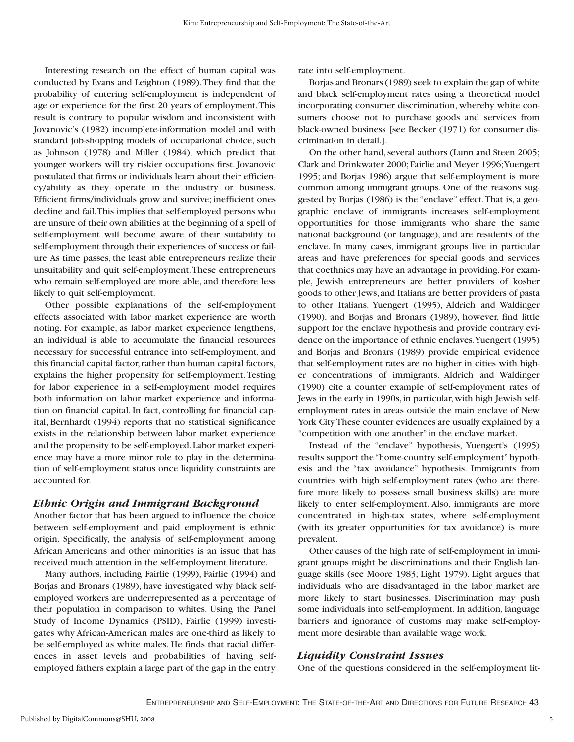Interesting research on the effect of human capital was conducted by Evans and Leighton (1989).They find that the probability of entering self-employment is independent of age or experience for the first 20 years of employment.This result is contrary to popular wisdom and inconsistent with Jovanovic's (1982) incomplete-information model and with standard job-shopping models of occupational choice, such as Johnson (1978) and Miller (1984), which predict that younger workers will try riskier occupations first. Jovanovic postulated that firms or individuals learn about their efficiency/ability as they operate in the industry or business. Efficient firms/individuals grow and survive; inefficient ones decline and fail.This implies that self-employed persons who are unsure of their own abilities at the beginning of a spell of self-employment will become aware of their suitability to self-employment through their experiences of success or failure.As time passes, the least able entrepreneurs realize their unsuitability and quit self-employment.These entrepreneurs who remain self-employed are more able, and therefore less likely to quit self-employment.

Other possible explanations of the self-employment effects associated with labor market experience are worth noting. For example, as labor market experience lengthens, an individual is able to accumulate the financial resources necessary for successful entrance into self-employment, and this financial capital factor, rather than human capital factors, explains the higher propensity for self-employment. Testing for labor experience in a self-employment model requires both information on labor market experience and information on financial capital. In fact, controlling for financial capital, Bernhardt (1994) reports that no statistical significance exists in the relationship between labor market experience and the propensity to be self-employed. Labor market experience may have a more minor role to play in the determination of self-employment status once liquidity constraints are accounted for.

#### *Ethnic Origin and Immigrant Background*

Another factor that has been argued to influence the choice between self-employment and paid employment is ethnic origin. Specifically, the analysis of self-employment among African Americans and other minorities is an issue that has received much attention in the self-employment literature.

Many authors, including Fairlie (1999), Fairlie (1994) and Borjas and Bronars (1989), have investigated why black selfemployed workers are underrepresented as a percentage of their population in comparison to whites. Using the Panel Study of Income Dynamics (PSID), Fairlie (1999) investigates why African-American males are one-third as likely to be self-employed as white males. He finds that racial differences in asset levels and probabilities of having selfemployed fathers explain a large part of the gap in the entry

rate into self-employment.

Borjas and Bronars (1989) seek to explain the gap of white and black self-employment rates using a theoretical model incorporating consumer discrimination, whereby white consumers choose not to purchase goods and services from black-owned business [see Becker (1971) for consumer discrimination in detail.].

On the other hand, several authors (Lunn and Steen 2005; Clark and Drinkwater 2000; Fairlie and Meyer 1996;Yuengert 1995; and Borjas 1986) argue that self-employment is more common among immigrant groups. One of the reasons suggested by Borjas (1986) is the "enclave" effect.That is, a geographic enclave of immigrants increases self-employment opportunities for those immigrants who share the same national background (or language), and are residents of the enclave. In many cases, immigrant groups live in particular areas and have preferences for special goods and services that coethnics may have an advantage in providing.For example, Jewish entrepreneurs are better providers of kosher goods to other Jews,and Italians are better providers of pasta to other Italians. Yuengert (1995), Aldrich and Waldinger (1990), and Borjas and Bronars (1989), however, find little support for the enclave hypothesis and provide contrary evidence on the importance of ethnic enclaves.Yuengert (1995) and Borjas and Bronars (1989) provide empirical evidence that self-employment rates are no higher in cities with higher concentrations of immigrants. Aldrich and Waldinger (1990) cite a counter example of self-employment rates of Jews in the early in 1990s, in particular, with high Jewish selfemployment rates in areas outside the main enclave of New York City.These counter evidences are usually explained by a "competition with one another" in the enclave market.

Instead of the "enclave" hypothesis, Yuengert's (1995) results support the "home-country self-employment" hypothesis and the "tax avoidance" hypothesis. Immigrants from countries with high self-employment rates (who are therefore more likely to possess small business skills) are more likely to enter self-employment. Also, immigrants are more concentrated in high-tax states, where self-employment (with its greater opportunities for tax avoidance) is more prevalent.

Other causes of the high rate of self-employment in immigrant groups might be discriminations and their English language skills (see Moore 1983; Light 1979). Light argues that individuals who are disadvantaged in the labor market are more likely to start businesses. Discrimination may push some individuals into self-employment. In addition, language barriers and ignorance of customs may make self-employment more desirable than available wage work.

#### *Liquidity Constraint Issues*

One of the questions considered in the self-employment lit-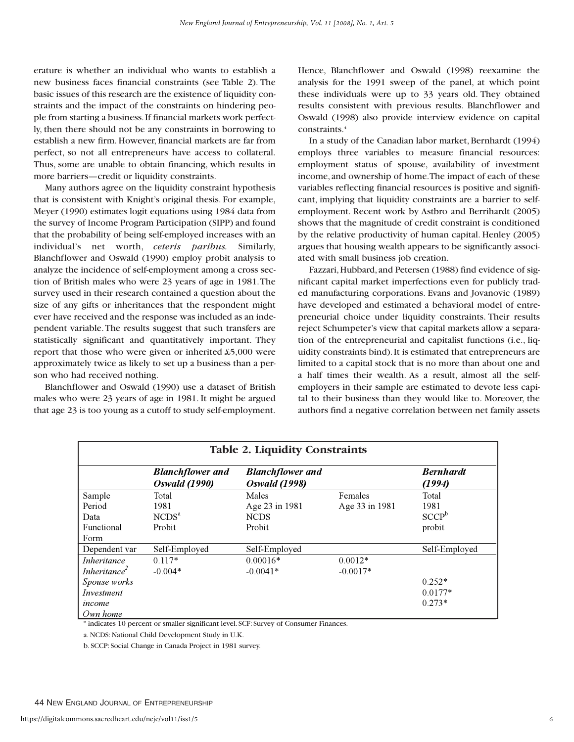erature is whether an individual who wants to establish a new business faces financial constraints (see Table 2). The basic issues of this research are the existence of liquidity constraints and the impact of the constraints on hindering people from starting a business.If financial markets work perfectly, then there should not be any constraints in borrowing to establish a new firm. However, financial markets are far from perfect, so not all entrepreneurs have access to collateral. Thus, some are unable to obtain financing, which results in more barriers—credit or liquidity constraints.

Many authors agree on the liquidity constraint hypothesis that is consistent with Knight's original thesis. For example, Meyer (1990) estimates logit equations using 1984 data from the survey of Income Program Participation (SIPP) and found that the probability of being self-employed increases with an individual's net worth, *ceteris paribus.* Similarly, Blanchflower and Oswald (1990) employ probit analysis to analyze the incidence of self-employment among a cross section of British males who were 23 years of age in 1981.The survey used in their research contained a question about the size of any gifts or inheritances that the respondent might ever have received and the response was included as an independent variable.The results suggest that such transfers are statistically significant and quantitatively important. They report that those who were given or inherited £5,000 were approximately twice as likely to set up a business than a person who had received nothing.

Blanchflower and Oswald (1990) use a dataset of British males who were 23 years of age in 1981. It might be argued that age 23 is too young as a cutoff to study self-employment.

Hence, Blanchflower and Oswald (1998) reexamine the analysis for the 1991 sweep of the panel, at which point these individuals were up to 33 years old. They obtained results consistent with previous results. Blanchflower and Oswald (1998) also provide interview evidence on capital constraints.4

In a study of the Canadian labor market, Bernhardt (1994) employs three variables to measure financial resources: employment status of spouse, availability of investment income, and ownership of home. The impact of each of these variables reflecting financial resources is positive and significant, implying that liquidity constraints are a barrier to selfemployment. Recent work by Astbro and Berrihardt (2005) shows that the magnitude of credit constraint is conditioned by the relative productivity of human capital. Henley (2005) argues that housing wealth appears to be significantly associated with small business job creation.

Fazzari, Hubbard, and Petersen (1988) find evidence of significant capital market imperfections even for publicly traded manufacturing corporations. Evans and Jovanovic (1989) have developed and estimated a behavioral model of entrepreneurial choice under liquidity constraints. Their results reject Schumpeter's view that capital markets allow a separation of the entrepreneurial and capitalist functions (i.e., liquidity constraints bind).It is estimated that entrepreneurs are limited to a capital stock that is no more than about one and a half times their wealth. As a result, almost all the selfemployers in their sample are estimated to devote less capital to their business than they would like to. Moreover, the authors find a negative correlation between net family assets

| <b>Table 2. Liquidity Constraints</b> |                                                 |                                                 |                |                            |  |  |
|---------------------------------------|-------------------------------------------------|-------------------------------------------------|----------------|----------------------------|--|--|
|                                       | <b>Blanchflower</b> and<br><b>Oswald</b> (1990) | <b>Blanchflower</b> and<br><b>Oswald</b> (1998) |                | <b>Bernhardt</b><br>(1994) |  |  |
| Sample                                | Total                                           | Males                                           | Females        | Total                      |  |  |
| Period                                | 1981                                            | Age 23 in 1981                                  | Age 33 in 1981 | 1981                       |  |  |
| Data                                  | NCDS <sup>a</sup>                               | <b>NCDS</b>                                     |                | SCCP <sup>b</sup>          |  |  |
| Functional                            | Probit                                          | Probit                                          |                | probit                     |  |  |
| Form                                  |                                                 |                                                 |                |                            |  |  |
| Dependent var                         | Self-Employed                                   | Self-Employed                                   |                | Self-Employed              |  |  |
| Inheritance                           | $0.117*$                                        | $0.00016*$                                      | $0.0012*$      |                            |  |  |
| Inheritance <sup>2</sup>              | $-0.004*$                                       | $-0.0041*$                                      | $-0.0017*$     |                            |  |  |
| Spouse works                          |                                                 |                                                 |                | $0.252*$                   |  |  |
| Investment                            |                                                 |                                                 |                | $0.0177*$                  |  |  |
| income                                |                                                 |                                                 |                | $0.273*$                   |  |  |
| Own home                              |                                                 |                                                 |                |                            |  |  |

\* indicates 10 percent or smaller significant level. SCF: Survey of Consumer Finances.

a. NCDS: National Child Development Study in U.K.

b. SCCP: Social Change in Canada Project in 1981 survey.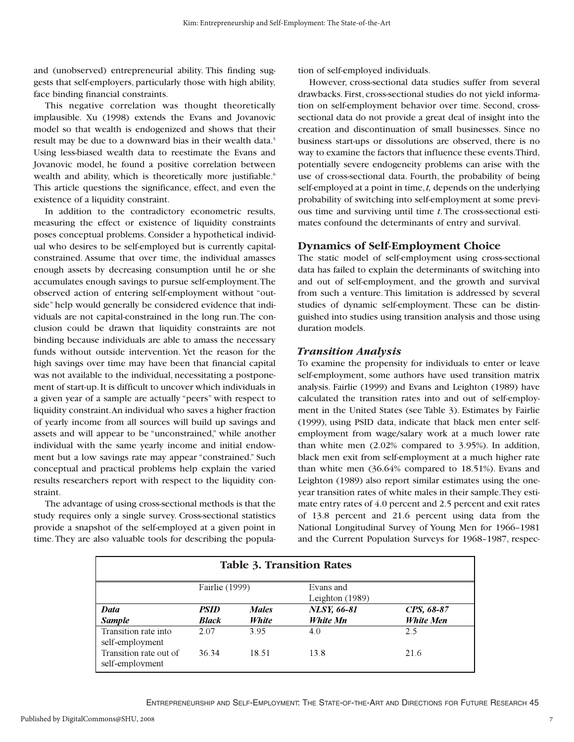and (unobserved) entrepreneurial ability. This finding suggests that self-employers, particularly those with high ability, face binding financial constraints.

This negative correlation was thought theoretically implausible. Xu (1998) extends the Evans and Jovanovic model so that wealth is endogenized and shows that their result may be due to a downward bias in their wealth data.<sup>5</sup> Using less-biased wealth data to reestimate the Evans and Jovanovic model, he found a positive correlation between wealth and ability, which is theoretically more justifiable.<sup>6</sup> This article questions the significance, effect, and even the existence of a liquidity constraint.

In addition to the contradictory econometric results, measuring the effect or existence of liquidity constraints poses conceptual problems. Consider a hypothetical individual who desires to be self-employed but is currently capitalconstrained. Assume that over time, the individual amasses enough assets by decreasing consumption until he or she accumulates enough savings to pursue self-employment.The observed action of entering self-employment without "outside" help would generally be considered evidence that individuals are not capital-constrained in the long run.The conclusion could be drawn that liquidity constraints are not binding because individuals are able to amass the necessary funds without outside intervention. Yet the reason for the high savings over time may have been that financial capital was not available to the individual, necessitating a postponement of start-up.It is difficult to uncover which individuals in a given year of a sample are actually "peers" with respect to liquidity constraint.An individual who saves a higher fraction of yearly income from all sources will build up savings and assets and will appear to be "unconstrained," while another individual with the same yearly income and initial endowment but a low savings rate may appear "constrained." Such conceptual and practical problems help explain the varied results researchers report with respect to the liquidity constraint.

The advantage of using cross-sectional methods is that the study requires only a single survey. Cross-sectional statistics provide a snapshot of the self-employed at a given point in time.They are also valuable tools for describing the population of self-employed individuals.

However, cross-sectional data studies suffer from several drawbacks. First, cross-sectional studies do not yield information on self-employment behavior over time. Second, crosssectional data do not provide a great deal of insight into the creation and discontinuation of small businesses. Since no business start-ups or dissolutions are observed, there is no way to examine the factors that influence these events.Third, potentially severe endogeneity problems can arise with the use of cross-sectional data. Fourth, the probability of being self-employed at a point in time,*t,* depends on the underlying probability of switching into self-employment at some previous time and surviving until time *t*.The cross-sectional estimates confound the determinants of entry and survival.

#### **Dynamics of Self-Employment Choice**

The static model of self-employment using cross-sectional data has failed to explain the determinants of switching into and out of self-employment, and the growth and survival from such a venture. This limitation is addressed by several studies of dynamic self-employment. These can be distinguished into studies using transition analysis and those using duration models.

#### *Transition Analysis*

To examine the propensity for individuals to enter or leave self-employment, some authors have used transition matrix analysis. Fairlie (1999) and Evans and Leighton (1989) have calculated the transition rates into and out of self-employment in the United States (see Table 3). Estimates by Fairlie (1999), using PSID data, indicate that black men enter selfemployment from wage/salary work at a much lower rate than white men (2.02% compared to 3.95%). In addition, black men exit from self-employment at a much higher rate than white men (36.64% compared to 18.51%). Evans and Leighton (1989) also report similar estimates using the oneyear transition rates of white males in their sample.They estimate entry rates of 4.0 percent and 2.5 percent and exit rates of 13.8 percent and 21.6 percent using data from the National Longitudinal Survey of Young Men for 1966–1981 and the Current Population Surveys for 1968–1987, respec-

| <b>Table 3. Transition Rates</b>          |                                    |                              |                                |                                |  |  |
|-------------------------------------------|------------------------------------|------------------------------|--------------------------------|--------------------------------|--|--|
|                                           | Fairlie (1999)                     |                              | Evans and<br>Leighton (1989)   |                                |  |  |
| <b>Data</b><br><b>Sample</b>              | <i><b>PSID</b></i><br><b>Black</b> | <b>Males</b><br><i>White</i> | <b>NLSY, 66-81</b><br>White Mn | CPS, 68-87<br><b>White Men</b> |  |  |
| Transition rate into<br>self-employment   | 2.07                               | 395                          | 4.0                            | 2.5                            |  |  |
| Transition rate out of<br>self-employment | 36.34                              | 18.51                        | 13.8                           | 21.6                           |  |  |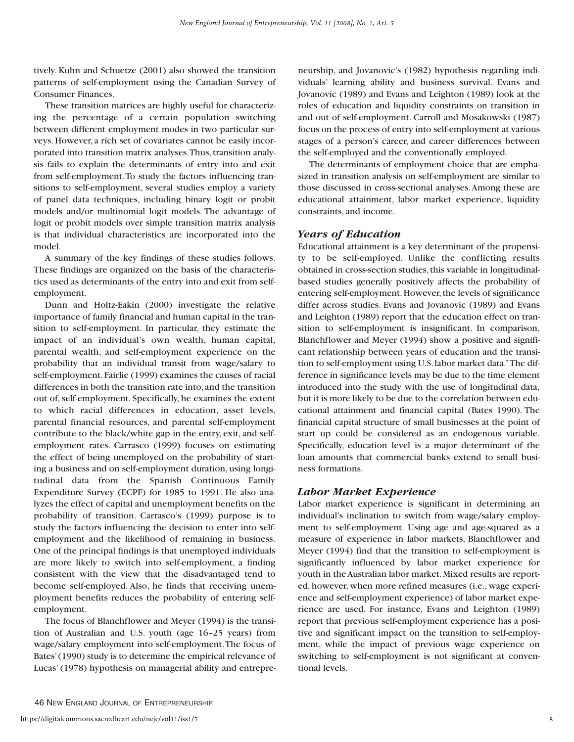tively. Kuhn and Schuetze (2001) also showed the transition patterns of self-employment using the Canadian Survey of Consumer Finances.

These transition matrices are highly useful for characterizing the percentage of a certain population switching between different employment modes in two particular surveys. However, a rich set of covariates cannot be easily incorporated into transition matrix analyses.Thus, transition analysis fails to explain the determinants of entry into and exit from self-employment.To study the factors influencing transitions to self-employment, several studies employ a variety of panel data techniques, including binary logit or probit models and/or multinomial logit models. The advantage of logit or probit models over simple transition matrix analysis is that individual characteristics are incorporated into the model.

A summary of the key findings of these studies follows. These findings are organized on the basis of the characteristics used as determinants of the entry into and exit from selfemployment.

Dunn and Holtz-Eakin (2000) investigate the relative importance of family financial and human capital in the transition to self-employment. In particular, they estimate the impact of an individual's own wealth, human capital, parental wealth, and self-employment experience on the probability that an individual transit from wage/salary to self-employment.Fairlie (1999) examines the causes of racial differences in both the transition rate into, and the transition out of, self-employment. Specifically, he examines the extent to which racial differences in education, asset levels, parental financial resources, and parental self-employment contribute to the black/white gap in the entry, exit, and selfemployment rates. Carrasco (1999) focuses on estimating the effect of being unemployed on the probability of starting a business and on self-employment duration, using longitudinal data from the Spanish Continuous Family Expenditure Survey (ECPF) for 1985 to 1991. He also analyzes the effect of capital and unemployment benefits on the probability of transition. Carrasco's (1999) purpose is to study the factors influencing the decision to enter into selfemployment and the likelihood of remaining in business. One of the principal findings is that unemployed individuals are more likely to switch into self-employment, a finding consistent with the view that the disadvantaged tend to become self-employed. Also, he finds that receiving unemployment benefits reduces the probability of entering selfemployment.

The focus of Blanchflower and Meyer (1994) is the transition of Australian and U.S. youth (age 16–25 years) from wage/salary employment into self-employment.The focus of Bates'(1990) study is to determine the empirical relevance of Lucas' (1978) hypothesis on managerial ability and entrepre-

neurship, and Jovanovic's (1982) hypothesis regarding individuals' learning ability and business survival. Evans and Jovanovic (1989) and Evans and Leighton (1989) look at the roles of education and liquidity constraints on transition in and out of self-employment. Carroll and Mosakowski (1987) focus on the process of entry into self-employment at various stages of a person's career, and career differences between the self-employed and the conventionally employed.

The determinants of employment choice that are emphasized in transition analysis on self-employment are similar to those discussed in cross-sectional analyses.Among these are educational attainment, labor market experience, liquidity constraints, and income.

#### *Years of Education*

Educational attainment is a key determinant of the propensity to be self-employed. Unlike the conflicting results obtained in cross-section studies,this variable in longitudinalbased studies generally positively affects the probability of entering self-employment. However, the levels of significance differ across studies. Evans and Jovanovic (1989) and Evans and Leighton (1989) report that the education effect on transition to self-employment is insignificant. In comparison, Blanchflower and Meyer (1994) show a positive and significant relationship between years of education and the transition to self-employment using U.S.labor market data.7The difference in significance levels may be due to the time element introduced into the study with the use of longitudinal data, but it is more likely to be due to the correlation between educational attainment and financial capital (Bates 1990). The financial capital structure of small businesses at the point of start up could be considered as an endogenous variable. Specifically, education level is a major determinant of the loan amounts that commercial banks extend to small business formations.

#### *Labor Market Experience*

Labor market experience is significant in determining an individual's inclination to switch from wage/salary employment to self-employment. Using age and age-squared as a measure of experience in labor markets, Blanchflower and Meyer (1994) find that the transition to self-employment is significantly influenced by labor market experience for youth in the Australian labor market.Mixed results are reported, however, when more refined measures (i.e., wage experience and self-employment experience) of labor market experience are used. For instance, Evans and Leighton (1989) report that previous self-employment experience has a positive and significant impact on the transition to self-employment, while the impact of previous wage experience on switching to self-employment is not significant at conventional levels.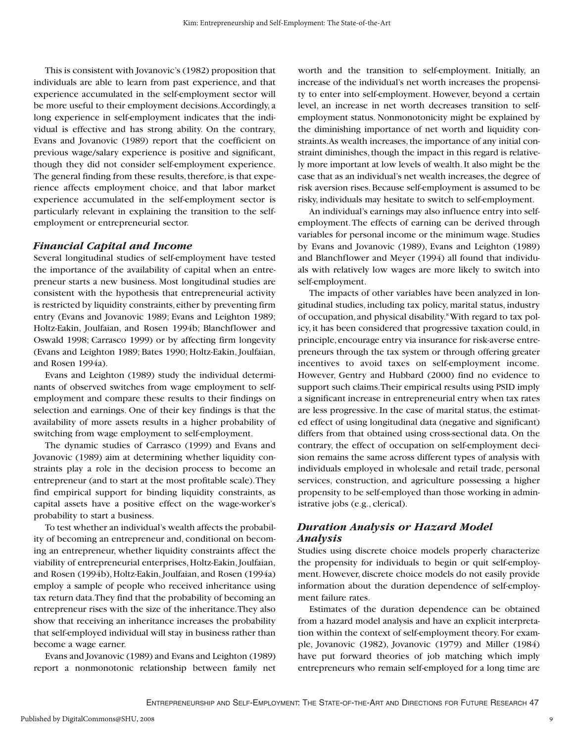This is consistent with Jovanovic's (1982) proposition that individuals are able to learn from past experience, and that experience accumulated in the self-employment sector will be more useful to their employment decisions.Accordingly, a long experience in self-employment indicates that the individual is effective and has strong ability. On the contrary, Evans and Jovanovic (1989) report that the coefficient on previous wage/salary experience is positive and significant, though they did not consider self-employment experience. The general finding from these results, therefore, is that experience affects employment choice, and that labor market experience accumulated in the self-employment sector is particularly relevant in explaining the transition to the selfemployment or entrepreneurial sector.

#### *Financial Capital and Income*

Several longitudinal studies of self-employment have tested the importance of the availability of capital when an entrepreneur starts a new business. Most longitudinal studies are consistent with the hypothesis that entrepreneurial activity is restricted by liquidity constraints, either by preventing firm entry (Evans and Jovanovic 1989; Evans and Leighton 1989; Holtz-Eakin, Joulfaian, and Rosen 1994b; Blanchflower and Oswald 1998; Carrasco 1999) or by affecting firm longevity (Evans and Leighton 1989; Bates 1990; Holtz-Eakin, Joulfaian, and Rosen 1994a).

Evans and Leighton (1989) study the individual determinants of observed switches from wage employment to selfemployment and compare these results to their findings on selection and earnings. One of their key findings is that the availability of more assets results in a higher probability of switching from wage employment to self-employment.

The dynamic studies of Carrasco (1999) and Evans and Jovanovic (1989) aim at determining whether liquidity constraints play a role in the decision process to become an entrepreneur (and to start at the most profitable scale).They find empirical support for binding liquidity constraints, as capital assets have a positive effect on the wage-worker's probability to start a business.

To test whether an individual's wealth affects the probability of becoming an entrepreneur and, conditional on becoming an entrepreneur, whether liquidity constraints affect the viability of entrepreneurial enterprises,Holtz-Eakin,Joulfaian, and Rosen (1994b), Holtz-Eakin, Joulfaian, and Rosen (1994a) employ a sample of people who received inheritance using tax return data.They find that the probability of becoming an entrepreneur rises with the size of the inheritance.They also show that receiving an inheritance increases the probability that self-employed individual will stay in business rather than become a wage earner.

Evans and Jovanovic (1989) and Evans and Leighton (1989) report a nonmonotonic relationship between family net

worth and the transition to self-employment. Initially, an increase of the individual's net worth increases the propensity to enter into self-employment. However, beyond a certain level, an increase in net worth decreases transition to selfemployment status. Nonmonotonicity might be explained by the diminishing importance of net worth and liquidity constraints. As wealth increases, the importance of any initial constraint diminishes, though the impact in this regard is relatively more important at low levels of wealth.It also might be the case that as an individual's net wealth increases, the degree of risk aversion rises. Because self-employment is assumed to be risky, individuals may hesitate to switch to self-employment.

An individual's earnings may also influence entry into selfemployment.The effects of earning can be derived through variables for personal income or the minimum wage. Studies by Evans and Jovanovic (1989), Evans and Leighton (1989) and Blanchflower and Meyer (1994) all found that individuals with relatively low wages are more likely to switch into self-employment.

The impacts of other variables have been analyzed in longitudinal studies, including tax policy, marital status, industry of occupation, and physical disability.8 With regard to tax policy, it has been considered that progressive taxation could, in principle,encourage entry via insurance for risk-averse entrepreneurs through the tax system or through offering greater incentives to avoid taxes on self-employment income. However, Gentry and Hubbard (2000) find no evidence to support such claims.Their empirical results using PSID imply a significant increase in entrepreneurial entry when tax rates are less progressive. In the case of marital status, the estimated effect of using longitudinal data (negative and significant) differs from that obtained using cross-sectional data. On the contrary, the effect of occupation on self-employment decision remains the same across different types of analysis with individuals employed in wholesale and retail trade, personal services, construction, and agriculture possessing a higher propensity to be self-employed than those working in administrative jobs (e.g., clerical).

#### *Duration Analysis or Hazard Model Analysis*

Studies using discrete choice models properly characterize the propensity for individuals to begin or quit self-employment. However, discrete choice models do not easily provide information about the duration dependence of self-employment failure rates.

Estimates of the duration dependence can be obtained from a hazard model analysis and have an explicit interpretation within the context of self-employment theory. For example, Jovanovic (1982), Jovanovic (1979) and Miller (1984) have put forward theories of job matching which imply entrepreneurs who remain self-employed for a long time are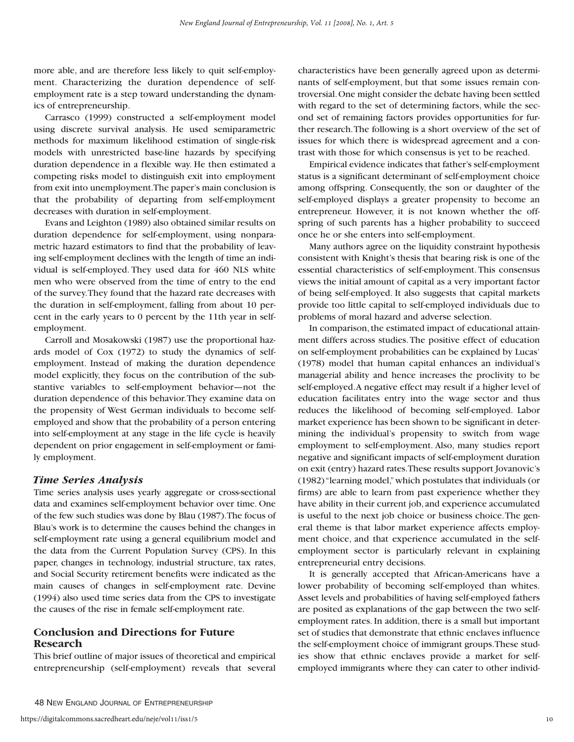more able, and are therefore less likely to quit self-employment. Characterizing the duration dependence of selfemployment rate is a step toward understanding the dynamics of entrepreneurship.

Carrasco (1999) constructed a self-employment model using discrete survival analysis. He used semiparametric methods for maximum likelihood estimation of single-risk models with unrestricted base-line hazards by specifying duration dependence in a flexible way. He then estimated a competing risks model to distinguish exit into employment from exit into unemployment.The paper's main conclusion is that the probability of departing from self-employment decreases with duration in self-employment.

Evans and Leighton (1989) also obtained similar results on duration dependence for self-employment, using nonparametric hazard estimators to find that the probability of leaving self-employment declines with the length of time an individual is self-employed. They used data for 460 NLS white men who were observed from the time of entry to the end of the survey.They found that the hazard rate decreases with the duration in self-employment, falling from about 10 percent in the early years to 0 percent by the 11th year in selfemployment.

Carroll and Mosakowski (1987) use the proportional hazards model of Cox (1972) to study the dynamics of selfemployment. Instead of making the duration dependence model explicitly, they focus on the contribution of the substantive variables to self-employment behavior—not the duration dependence of this behavior.They examine data on the propensity of West German individuals to become selfemployed and show that the probability of a person entering into self-employment at any stage in the life cycle is heavily dependent on prior engagement in self-employment or family employment.

#### *Time Series Analysis*

Time series analysis uses yearly aggregate or cross-sectional data and examines self-employment behavior over time. One of the few such studies was done by Blau (1987).The focus of Blau's work is to determine the causes behind the changes in self-employment rate using a general equilibrium model and the data from the Current Population Survey (CPS). In this paper, changes in technology, industrial structure, tax rates, and Social Security retirement benefits were indicated as the main causes of changes in self-employment rate. Devine (1994) also used time series data from the CPS to investigate the causes of the rise in female self-employment rate.

#### **Conclusion and Directions for Future Research**

This brief outline of major issues of theoretical and empirical entrepreneurship (self-employment) reveals that several

characteristics have been generally agreed upon as determinants of self-employment, but that some issues remain controversial.One might consider the debate having been settled with regard to the set of determining factors, while the second set of remaining factors provides opportunities for further research.The following is a short overview of the set of issues for which there is widespread agreement and a contrast with those for which consensus is yet to be reached.

Empirical evidence indicates that father's self-employment status is a significant determinant of self-employment choice among offspring. Consequently, the son or daughter of the self-employed displays a greater propensity to become an entrepreneur. However, it is not known whether the offspring of such parents has a higher probability to succeed once he or she enters into self-employment.

Many authors agree on the liquidity constraint hypothesis consistent with Knight's thesis that bearing risk is one of the essential characteristics of self-employment. This consensus views the initial amount of capital as a very important factor of being self-employed. It also suggests that capital markets provide too little capital to self-employed individuals due to problems of moral hazard and adverse selection.

In comparison, the estimated impact of educational attainment differs across studies.The positive effect of education on self-employment probabilities can be explained by Lucas' (1978) model that human capital enhances an individual's managerial ability and hence increases the proclivity to be self-employed.A negative effect may result if a higher level of education facilitates entry into the wage sector and thus reduces the likelihood of becoming self-employed. Labor market experience has been shown to be significant in determining the individual's propensity to switch from wage employment to self-employment. Also, many studies report negative and significant impacts of self-employment duration on exit (entry) hazard rates.These results support Jovanovic's (1982) "learning model,"which postulates that individuals (or firms) are able to learn from past experience whether they have ability in their current job,and experience accumulated is useful to the next job choice or business choice.The general theme is that labor market experience affects employment choice, and that experience accumulated in the selfemployment sector is particularly relevant in explaining entrepreneurial entry decisions.

It is generally accepted that African-Americans have a lower probability of becoming self-employed than whites. Asset levels and probabilities of having self-employed fathers are posited as explanations of the gap between the two selfemployment rates. In addition, there is a small but important set of studies that demonstrate that ethnic enclaves influence the self-employment choice of immigrant groups.These studies show that ethnic enclaves provide a market for selfemployed immigrants where they can cater to other individ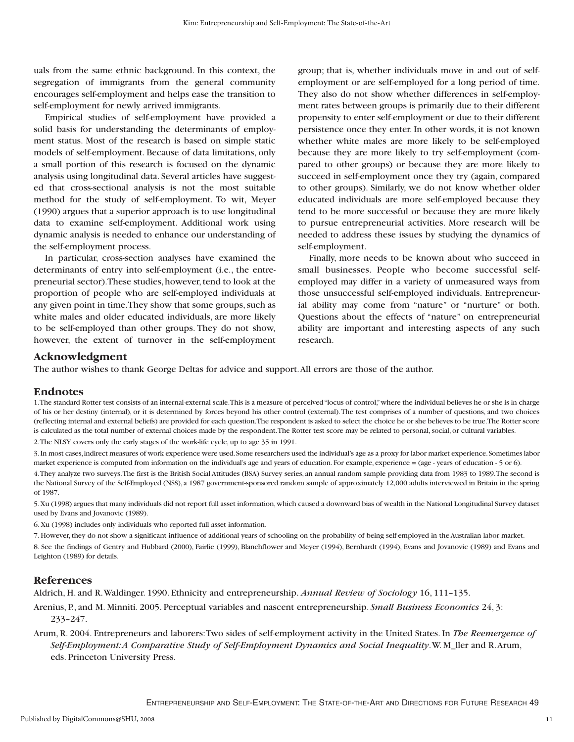uals from the same ethnic background. In this context, the segregation of immigrants from the general community encourages self-employment and helps ease the transition to self-employment for newly arrived immigrants.

Empirical studies of self-employment have provided a solid basis for understanding the determinants of employment status. Most of the research is based on simple static models of self-employment. Because of data limitations, only a small portion of this research is focused on the dynamic analysis using longitudinal data. Several articles have suggested that cross-sectional analysis is not the most suitable method for the study of self-employment. To wit, Meyer (1990) argues that a superior approach is to use longitudinal data to examine self-employment. Additional work using dynamic analysis is needed to enhance our understanding of the self-employment process.

In particular, cross-section analyses have examined the determinants of entry into self-employment (i.e., the entrepreneurial sector). These studies, however, tend to look at the proportion of people who are self-employed individuals at any given point in time. They show that some groups, such as white males and older educated individuals, are more likely to be self-employed than other groups. They do not show, however, the extent of turnover in the self-employment

group; that is, whether individuals move in and out of selfemployment or are self-employed for a long period of time. They also do not show whether differences in self-employment rates between groups is primarily due to their different propensity to enter self-employment or due to their different persistence once they enter. In other words, it is not known whether white males are more likely to be self-employed because they are more likely to try self-employment (compared to other groups) or because they are more likely to succeed in self-employment once they try (again, compared to other groups). Similarly, we do not know whether older educated individuals are more self-employed because they tend to be more successful or because they are more likely to pursue entrepreneurial activities. More research will be needed to address these issues by studying the dynamics of self-employment.

Finally, more needs to be known about who succeed in small businesses. People who become successful selfemployed may differ in a variety of unmeasured ways from those unsuccessful self-employed individuals. Entrepreneurial ability may come from "nature" or "nurture" or both. Questions about the effects of "nature" on entrepreneurial ability are important and interesting aspects of any such research.

#### **Acknowledgment**

The author wishes to thank George Deltas for advice and support.All errors are those of the author.

#### **Endnotes**

1.The standard Rotter test consists of an internal-external scale.This is a measure of perceived "locus of control,"where the individual believes he or she is in charge of his or her destiny (internal), or it is determined by forces beyond his other control (external).The test comprises of a number of questions, and two choices (reflecting internal and external beliefs) are provided for each question.The respondent is asked to select the choice he or she believes to be true.The Rotter score is calculated as the total number of external choices made by the respondent.The Rotter test score may be related to personal, social, or cultural variables.

2.The NLSY covers only the early stages of the work-life cycle, up to age 35 in 1991.

3.In most cases,indirect measures of work experience were used.Some researchers used the individual's age as a proxy for labor market experience.Sometimes labor market experience is computed from information on the individual's age and years of education. For example, experience = (age - years of education - 5 or 6).

4.They analyze two surveys.The first is the British Social Attitudes (BSA) Survey series, an annual random sample providing data from 1983 to 1989.The second is the National Survey of the Self-Employed (NSS), a 1987 government-sponsored random sample of approximately 12,000 adults interviewed in Britain in the spring of 1987.

5.Xu (1998) argues that many individuals did not report full asset information,which caused a downward bias of wealth in the National Longitudinal Survey dataset used by Evans and Jovanovic (1989).

6. Xu (1998) includes only individuals who reported full asset information.

7. However, they do not show a significant influence of additional years of schooling on the probability of being self-employed in the Australian labor market. 8. See the findings of Gentry and Hubbard (2000), Fairlie (1999), Blanchflower and Meyer (1994), Bernhardt (1994), Evans and Jovanovic (1989) and Evans and Leighton (1989) for details.

#### **References**

Aldrich, H. and R.Waldinger. 1990. Ethnicity and entrepreneurship. *Annual Review of Sociology* 16, 111–135.

Arenius, P., and M. Minniti. 2005. Perceptual variables and nascent entrepreneurship. *Small Business Economics* 24, 3: 233–247.

Arum, R. 2004. Entrepreneurs and laborers:Two sides of self-employment activity in the United States. In *The Reemergence of Self-Employment:A Comparative Study of Self-Employment Dynamics and Social Inequality*.W. M\_ller and R.Arum, eds. Princeton University Press.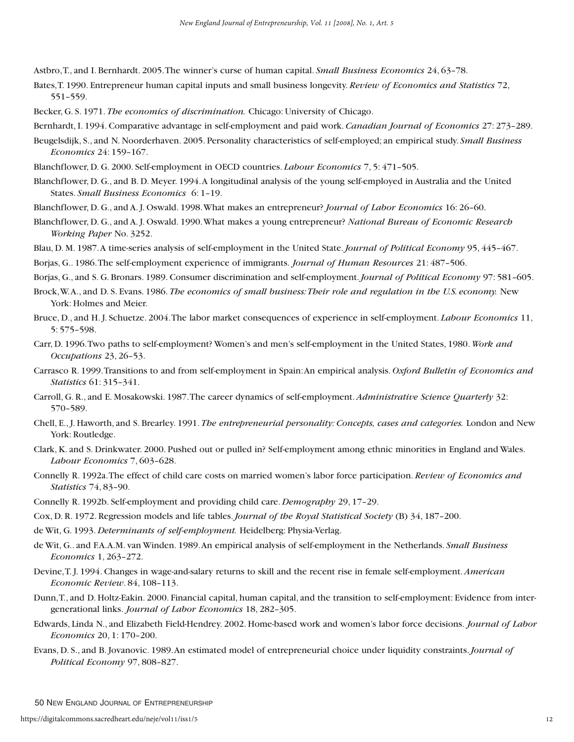Astbro,T., and I. Bernhardt. 2005.The winner's curse of human capital. *Small Business Economics* 24, 63–78.

- Bates,T. 1990. Entrepreneur human capital inputs and small business longevity. *Review of Economics and Statistics* 72, 551–559.
- Becker, G. S. 1971. *The economics of discrimination.* Chicago: University of Chicago.
- Bernhardt, I. 1994. Comparative advantage in self-employment and paid work. *Canadian Journal of Economics* 27: 273–289.
- Beugelsdijk, S., and N. Noorderhaven. 2005. Personality characteristics of self-employed; an empirical study. *Small Business Economics* 24: 159–167.
- Blanchflower, D. G. 2000. Self-employment in OECD countries. *Labour Economics* 7, 5: 471–505.
- Blanchflower, D. G., and B. D. Meyer. 1994.A longitudinal analysis of the young self-employed in Australia and the United States. *Small Business Economics* 6: 1–19.
- Blanchflower, D. G., and A. J. Oswald. 1998.What makes an entrepreneur? *Journal of Labor Economics* 16: 26–60.
- Blanchflower, D. G., and A. J. Oswald. 1990.What makes a young entrepreneur? *National Bureau of Economic Research Working Paper* No. 3252.
- Blau, D. M. 1987.A time-series analysis of self-employment in the United State.*Journal of Political Economy* 95, 445–467.
- Borjas, G.. 1986.The self-employment experience of immigrants. *Journal of Human Resources* 21: 487–506.
- Borjas, G., and S. G. Bronars. 1989. Consumer discrimination and self-employment.*Journal of Political Economy* 97: 581–605.
- Brock,W.A., and D. S. Evans. 1986. *The economics of small business:Their role and regulation in the U.S. economy.* New York: Holmes and Meier.
- Bruce, D., and H. J. Schuetze. 2004.The labor market consequences of experience in self-employment. *Labour Economics* 11, 5: 575–598.
- Carr, D. 1996.Two paths to self-employment? Women's and men's self-employment in the United States, 1980. *Work and Occupations* 23, 26–53.
- Carrasco R. 1999.Transitions to and from self-employment in Spain:An empirical analysis. *Oxford Bulletin of Economics and Statistics* 61: 315–341.
- Carroll, G. R., and E. Mosakowski. 1987.The career dynamics of self-employment. *Administrative Science Quarterly* 32: 570–589.
- Chell, E., J. Haworth, and S. Brearley. 1991. *The entrepreneurial personality: Concepts, cases and categories.* London and New York: Routledge.
- Clark, K. and S. Drinkwater. 2000. Pushed out or pulled in? Self-employment among ethnic minorities in England and Wales. *Labour Economics* 7, 603–628.
- Connelly R. 1992a.The effect of child care costs on married women's labor force participation. *Review of Economics and Statistics* 74, 83–90.
- Connelly R. 1992b. Self-employment and providing child care. *Demography* 29, 17–29.
- Cox, D. R. 1972. Regression models and life tables.*Journal of the Royal Statistical Society* (B) 34, 187–200.
- de Wit, G. 1993. *Determinants of self-employment.* Heidelberg: Physia-Verlag.
- de Wit, G.. and F.A.A.M. van Winden. 1989.An empirical analysis of self-employment in the Netherlands. *Small Business Economics* 1, 263–272.
- Devine,T. J. 1994. Changes in wage-and-salary returns to skill and the recent rise in female self-employment. *American Economic Review*. 84, 108–113.
- Dunn,T., and D. Holtz-Eakin. 2000. Financial capital, human capital, and the transition to self-employment: Evidence from intergenerational links. *Journal of Labor Economics* 18, 282–305.
- Edwards, Linda N., and Elizabeth Field-Hendrey. 2002. Home-based work and women's labor force decisions. *Journal of Labor Economics* 20, 1: 170–200.
- Evans, D. S., and B. Jovanovic. 1989.An estimated model of entrepreneurial choice under liquidity constraints.*Journal of Political Economy* 97, 808–827.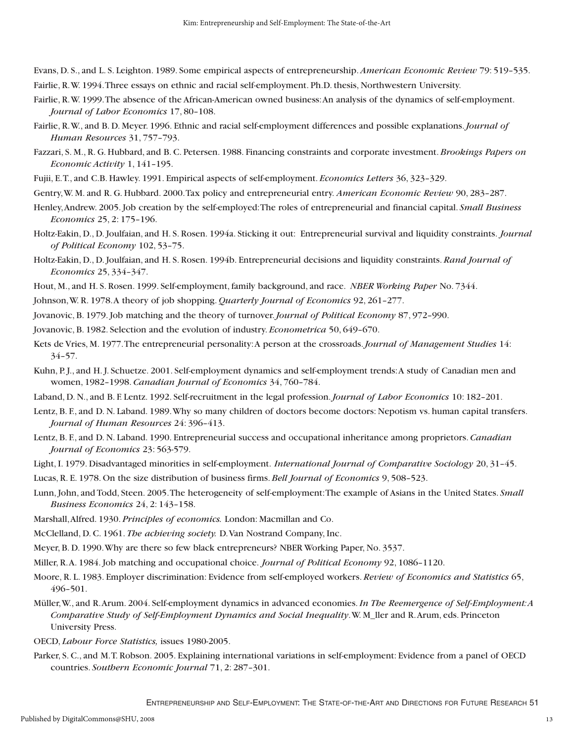Evans, D. S., and L. S. Leighton. 1989. Some empirical aspects of entrepreneurship. *American Economic Review* 79: 519–535.

- Fairlie, R.W. 1994.Three essays on ethnic and racial self-employment. Ph.D. thesis, Northwestern University.
- Fairlie, R.W. 1999. The absence of the African-American owned business: An analysis of the dynamics of self-employment. *Journal of Labor Economics* 17, 80–108.
- Fairlie, R.W., and B. D. Meyer. 1996. Ethnic and racial self-employment differences and possible explanations.*Journal of Human Resources* 31, 757–793.
- Fazzari, S. M., R. G. Hubbard, and B. C. Petersen. 1988. Financing constraints and corporate investment. *Brookings Papers on Economic Activity* 1, 141–195.
- Fujii, E.T., and C.B. Hawley. 1991. Empirical aspects of self-employment. *Economics Letters* 36, 323–329.
- Gentry,W. M. and R. G. Hubbard. 2000.Tax policy and entrepreneurial entry. *American Economic Review* 90, 283–287.
- Henley,Andrew. 2005. Job creation by the self-employed:The roles of entrepreneurial and financial capital. *Small Business Economics* 25, 2: 175–196.
- Holtz-Eakin, D., D. Joulfaian, and H. S. Rosen. 1994a. Sticking it out: Entrepreneurial survival and liquidity constraints. *Journal of Political Economy* 102, 53–75.
- Holtz-Eakin, D., D. Joulfaian, and H. S. Rosen. 1994b. Entrepreneurial decisions and liquidity constraints. *Rand Journal of Economics* 25, 334–347.
- Hout, M., and H. S. Rosen. 1999. Self-employment, family background, and race. *NBER Working Paper* No. 7344.
- Johnson,W. R. 1978.A theory of job shopping.*Quarterly Journal of Economics* 92, 261–277.
- Jovanovic, B. 1979. Job matching and the theory of turnover.*Journal of Political Economy* 87, 972–990.
- Jovanovic, B. 1982. Selection and the evolution of industry. *Econometrica* 50, 649–670.
- Kets de Vries, M. 1977.The entrepreneurial personality:A person at the crossroads.*Journal of Management Studies* 14: 34–57.
- Kuhn, P.J., and H.J. Schuetze. 2001. Self-employment dynamics and self-employment trends: A study of Canadian men and women, 1982–1998. *Canadian Journal of Economics* 34, 760–784.
- Laband, D. N., and B. F. Lentz. 1992. Self-recruitment in the legal profession.*Journal of Labor Economics* 10: 182–201.
- Lentz, B. F., and D. N. Laband. 1989.Why so many children of doctors become doctors: Nepotism vs. human capital transfers. *Journal of Human Resources* 24: 396–413.
- Lentz, B. F., and D. N. Laband. 1990. Entrepreneurial success and occupational inheritance among proprietors. *Canadian Journal of Economics* 23: 563-579.
- Light, I. 1979. Disadvantaged minorities in self-employment. *International Journal of Comparative Sociology* 20, 31–45.
- Lucas, R. E. 1978. On the size distribution of business firms. *Bell Journal of Economics* 9, 508–523.
- Lunn, John, and Todd, Steen. 2005.The heterogeneity of self-employment:The example of Asians in the United States. *Small Business Economics* 24, 2: 143–158.
- Marshall,Alfred. 1930. *Principles of economics.* London: Macmillan and Co.
- McClelland, D. C. 1961. *The achieving society.* D.Van Nostrand Company, Inc.
- Meyer, B. D. 1990.Why are there so few black entrepreneurs? NBER Working Paper, No. 3537.
- Miller, R.A. 1984. Job matching and occupational choice. *Journal of Political Economy* 92, 1086–1120.
- Moore, R. L. 1983. Employer discrimination: Evidence from self-employed workers. *Review of Economics and Statistics* 65, 496–501.
- Müller,W., and R.Arum. 2004. Self-employment dynamics in advanced economies.*In The Reemergence of Self-Employment:A Comparative Study of Self-Employment Dynamics and Social Inequality*.W. M\_ller and R.Arum, eds. Princeton University Press.
- OECD, *Labour Force Statistics,* issues 1980-2005.
- Parker, S. C., and M.T. Robson. 2005. Explaining international variations in self-employment: Evidence from a panel of OECD countries. *Southern Economic Journal* 71, 2: 287–301.